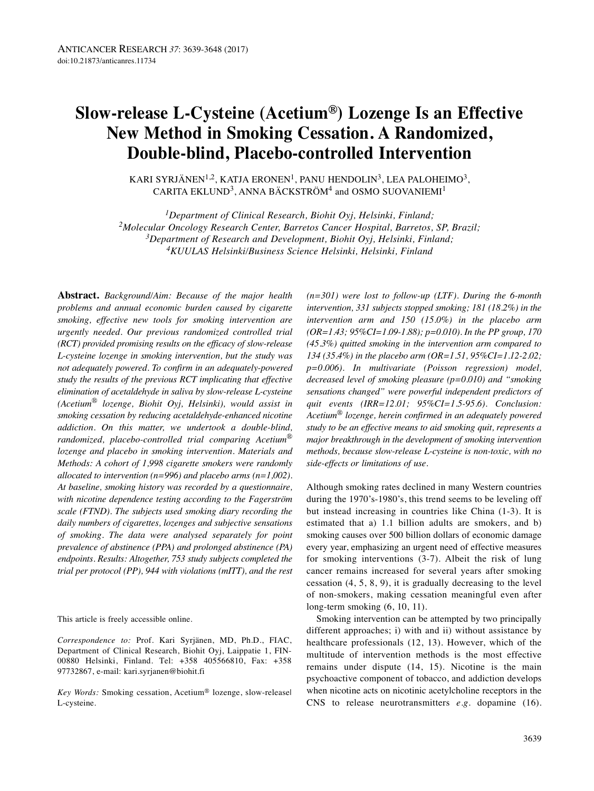# **Slow-release L-Cysteine (Acetium®) Lozenge Is an Effective New Method in Smoking Cessation. A Randomized, Double-blind, Placebo-controlled Intervention**

KARI SYRJÄNEN<sup>1,2</sup>, KATJA ERONEN<sup>1</sup>, PANU HENDOLIN<sup>3</sup>, LEA PALOHEIMO<sup>3</sup>, CARITA EKLUND<sup>3</sup>, ANNA BÄCKSTRÖM<sup>4</sup> and OSMO SUOVANIEMI<sup>1</sup>

*1Department of Clinical Research, Biohit Oyj, Helsinki, Finland; 2Molecular Oncology Research Center, Barretos Cancer Hospital, Barretos, SP, Brazil; 3Department of Research and Development, Biohit Oyj, Helsinki, Finland; 4KUULAS Helsinki/Business Science Helsinki, Helsinki, Finland*

**Abstract.** *Background/Aim: Because of the major health problems and annual economic burden caused by cigarette smoking, effective new tools for smoking intervention are urgently needed. Our previous randomized controlled trial (RCT) provided promising results on the efficacy of slow-release L-cysteine lozenge in smoking intervention, but the study was not adequately powered. To confirm in an adequately-powered study the results of the previous RCT implicating that effective elimination of acetaldehyde in saliva by slow-release L-cysteine (Acetium*® *lozenge, Biohit Oyj, Helsinki), would assist in smoking cessation by reducing acetaldehyde-enhanced nicotine addiction. On this matter, we undertook a double-blind, randomized, placebo-controlled trial comparing Acetium*® *lozenge and placebo in smoking intervention. Materials and Methods: A cohort of 1,998 cigarette smokers were randomly allocated to intervention (n=996) and placebo arms (n=1,002). At baseline, smoking history was recorded by a questionnaire, with nicotine dependence testing according to the Fagerström scale (FTND). The subjects used smoking diary recording the daily numbers of cigarettes, lozenges and subjective sensations of smoking. The data were analysed separately for point prevalence of abstinence (PPA) and prolonged abstinence (PA) endpoints. Results: Altogether, 753 study subjects completed the trial per protocol (PP), 944 with violations (mITT), and the rest*

This article is freely accessible online.

*Correspondence to:* Prof. Kari Syrjänen, MD, Ph.D., FIAC, Department of Clinical Research, Biohit Oyj, Laippatie 1, FIN-00880 Helsinki, Finland. Теl: +358 405566810, Fax: +358 97732867, e-mail: kari.syrjanen@biohit.fi

*Key Words:* Smoking cessation, Acetium® lozenge, slow-release| L-cysteine.

*(n=301) were lost to follow-up (LTF). During the 6-month intervention, 331 subjects stopped smoking; 181 (18.2%) in the intervention arm and 150 (15.0%) in the placebo arm (OR=1.43; 95%CI=1.09-1.88); p=0.010). In the PP group, 170 (45.3%) quitted smoking in the intervention arm compared to 134 (35.4%) in the placebo arm (OR=1.51, 95%CI=1.12-2.02; p=0.006). In multivariate (Poisson regression) model, decreased level of smoking pleasure (p=0.010) and "smoking sensations changed" were powerful independent predictors of quit events (IRR=12.01; 95%CI=1.5-95.6). Conclusion: Acetium*® *lozenge, herein confirmed in an adequately powered study to be an effective means to aid smoking quit, represents a major breakthrough in the development of smoking intervention methods, because slow-release L-cysteine is non-toxic, with no side-effects or limitations of use.*

Although smoking rates declined in many Western countries during the 1970's-1980's, this trend seems to be leveling off but instead increasing in countries like China (1-3). It is estimated that a) 1.1 billion adults are smokers, and b) smoking causes over 500 billion dollars of economic damage every year, emphasizing an urgent need of effective measures for smoking interventions (3-7). Albeit the risk of lung cancer remains increased for several years after smoking cessation (4, 5, 8, 9), it is gradually decreasing to the level of non-smokers, making cessation meaningful even after long-term smoking (6, 10, 11).

Smoking intervention can be attempted by two principally different approaches; i) with and ii) without assistance by healthcare professionals (12, 13). However, which of the multitude of intervention methods is the most effective remains under dispute (14, 15). Nicotine is the main psychoactive component of tobacco, and addiction develops when nicotine acts on nicotinic acetylcholine receptors in the CNS to release neurotransmitters *e.g.* dopamine (16).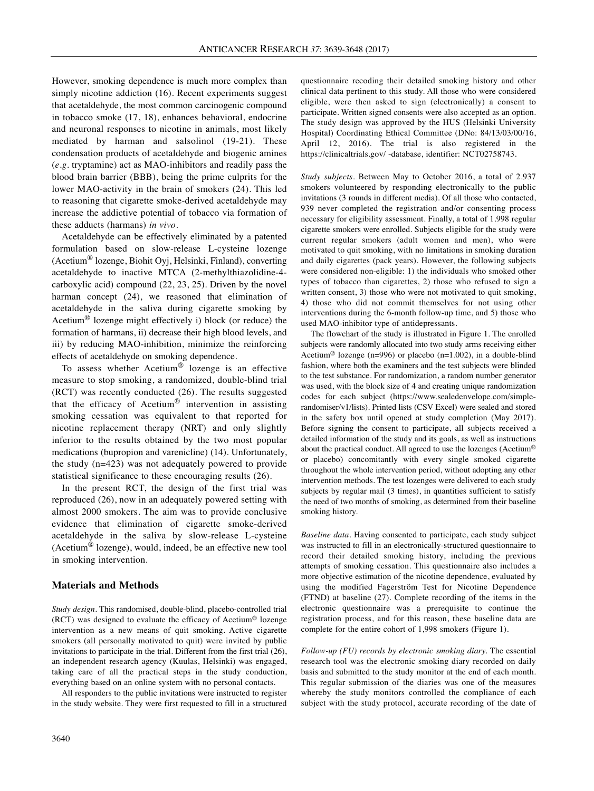However, smoking dependence is much more complex than simply nicotine addiction (16). Recent experiments suggest that acetaldehyde, the most common carcinogenic compound in tobacco smoke (17, 18), enhances behavioral, endocrine and neuronal responses to nicotine in animals, most likely mediated by harman and salsolinol (19-21). These condensation products of acetaldehyde and biogenic amines (*e.g.* tryptamine) act as MAO-inhibitors and readily pass the blood brain barrier (BBB), being the prime culprits for the lower MAO-activity in the brain of smokers (24). This led to reasoning that cigarette smoke-derived acetaldehyde may increase the addictive potential of tobacco via formation of these adducts (harmans) *in vivo*.

Acetaldehyde can be effectively eliminated by a patented formulation based on slow-release L-cysteine lozenge (Acetium® lozenge, Biohit Oyj, Helsinki, Finland), converting acetaldehyde to inactive MTCA (2-methylthiazolidine-4 carboxylic acid) compound (22, 23, 25). Driven by the novel harman concept (24), we reasoned that elimination of acetaldehyde in the saliva during cigarette smoking by Acetium® lozenge might effectively i) block (or reduce) the formation of harmans, ii) decrease their high blood levels, and iii) by reducing MAO-inhibition, minimize the reinforcing effects of acetaldehyde on smoking dependence.

To assess whether Acetium® lozenge is an effective measure to stop smoking, a randomized, double-blind trial (RCT) was recently conducted (26). The results suggested that the efficacy of Acetium<sup>®</sup> intervention in assisting smoking cessation was equivalent to that reported for nicotine replacement therapy (NRT) and only slightly inferior to the results obtained by the two most popular medications (bupropion and varenicline) (14). Unfortunately, the study (n=423) was not adequately powered to provide statistical significance to these encouraging results (26).

In the present RCT, the design of the first trial was reproduced (26), now in an adequately powered setting with almost 2000 smokers. The aim was to provide conclusive evidence that elimination of cigarette smoke-derived acetaldehyde in the saliva by slow-release L-cysteine (Acetium® lozenge), would, indeed, be an effective new tool in smoking intervention.

#### **Materials and Methods**

*Study design.* This randomised, double-blind, placebo-controlled trial (RCT) was designed to evaluate the efficacy of Acetium® lozenge intervention as a new means of quit smoking. Active cigarette smokers (all personally motivated to quit) were invited by public invitations to participate in the trial. Different from the first trial (26), an independent research agency (Kuulas, Helsinki) was engaged, taking care of all the practical steps in the study conduction, everything based on an online system with no personal contacts.

All responders to the public invitations were instructed to register in the study website. They were first requested to fill in a structured questionnaire recoding their detailed smoking history and other clinical data pertinent to this study. All those who were considered eligible, were then asked to sign (electronically) a consent to participate. Written signed consents were also accepted as an option. The study design was approved by the HUS (Helsinki University Hospital) Coordinating Ethical Committee (DNo: 84/13/03/00/16, April 12, 2016). The trial is also registered in the https://clinicaltrials.gov/ -database, identifier: NCT02758743.

*Study subjects.* Between May to October 2016, a total of 2.937 smokers volunteered by responding electronically to the public invitations (3 rounds in different media). Of all those who contacted, 939 never completed the registration and/or consenting process necessary for eligibility assessment. Finally, a total of 1.998 regular cigarette smokers were enrolled. Subjects eligible for the study were current regular smokers (adult women and men), who were motivated to quit smoking, with no limitations in smoking duration and daily cigarettes (pack years). However, the following subjects were considered non-eligible: 1) the individuals who smoked other types of tobacco than cigarettes, 2) those who refused to sign a written consent, 3) those who were not motivated to quit smoking, 4) those who did not commit themselves for not using other interventions during the 6-month follow-up time, and 5) those who used MAO-inhibitor type of antidepressants.

The flowchart of the study is illustrated in Figure 1. The enrolled subjects were randomly allocated into two study arms receiving either Acetium® lozenge (n=996) or placebo (n=1.002), in a double-blind fashion, where both the examiners and the test subjects were blinded to the test substance. For randomization, a random number generator was used, with the block size of 4 and creating unique randomization codes for each subject (https://www.sealedenvelope.com/simplerandomiser/v1/lists). Printed lists (CSV Excel) were sealed and stored in the safety box until opened at study completion (May 2017). Before signing the consent to participate, all subjects received a detailed information of the study and its goals, as well as instructions about the practical conduct. All agreed to use the lozenges (Acetium® or placebo) concomitantly with every single smoked cigarette throughout the whole intervention period, without adopting any other intervention methods. The test lozenges were delivered to each study subjects by regular mail (3 times), in quantities sufficient to satisfy the need of two months of smoking, as determined from their baseline smoking history.

*Baseline data.* Having consented to participate, each study subject was instructed to fill in an electronically-structured questionnaire to record their detailed smoking history, including the previous attempts of smoking cessation. This questionnaire also includes a more objective estimation of the nicotine dependence, evaluated by using the modified Fagerström Test for Nicotine Dependence (FTND) at baseline (27). Complete recording of the items in the electronic questionnaire was a prerequisite to continue the registration process, and for this reason, these baseline data are complete for the entire cohort of 1,998 smokers (Figure 1).

*Follow-up (FU) records by electronic smoking diary.* The essential research tool was the electronic smoking diary recorded on daily basis and submitted to the study monitor at the end of each month. This regular submission of the diaries was one of the measures whereby the study monitors controlled the compliance of each subject with the study protocol, accurate recording of the date of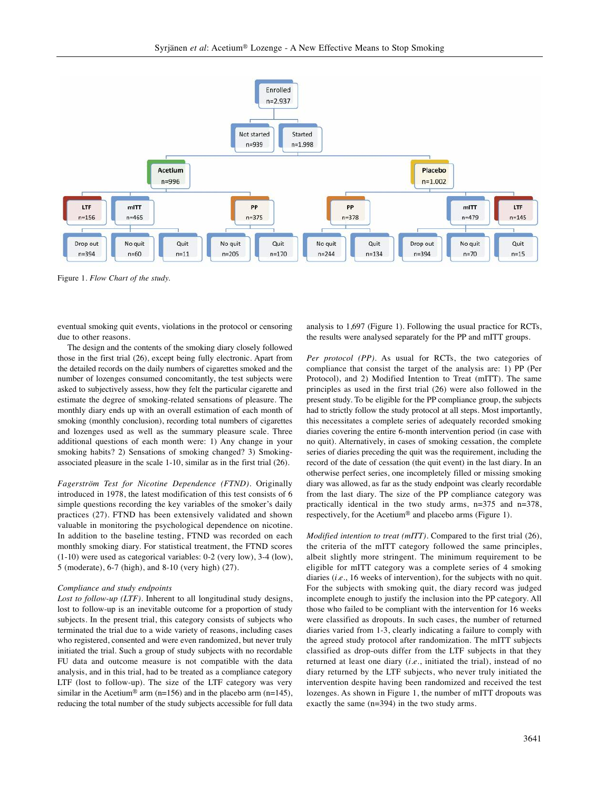

Figure 1*. Flow Chart of the study.*

eventual smoking quit events, violations in the protocol or censoring due to other reasons.

The design and the contents of the smoking diary closely followed those in the first trial (26), except being fully electronic. Apart from the detailed records on the daily numbers of cigarettes smoked and the number of lozenges consumed concomitantly, the test subjects were asked to subjectively assess, how they felt the particular cigarette and estimate the degree of smoking-related sensations of pleasure. The monthly diary ends up with an overall estimation of each month of smoking (monthly conclusion), recording total numbers of cigarettes and lozenges used as well as the summary pleasure scale. Three additional questions of each month were: 1) Any change in your smoking habits? 2) Sensations of smoking changed? 3) Smokingassociated pleasure in the scale 1-10, similar as in the first trial (26).

*Fagerström Test for Nicotine Dependence (FTND).* Originally introduced in 1978, the latest modification of this test consists of 6 simple questions recording the key variables of the smoker's daily practices (27). FTND has been extensively validated and shown valuable in monitoring the psychological dependence on nicotine. In addition to the baseline testing, FTND was recorded on each monthly smoking diary. For statistical treatment, the FTND scores (1-10) were used as categorical variables: 0-2 (very low), 3-4 (low), 5 (moderate), 6-7 (high), and 8-10 (very high) (27).

#### *Compliance and study endpoints*

*Lost to follow-up (LTF).* Inherent to all longitudinal study designs, lost to follow-up is an inevitable outcome for a proportion of study subjects. In the present trial, this category consists of subjects who terminated the trial due to a wide variety of reasons, including cases who registered, consented and were even randomized, but never truly initiated the trial. Such a group of study subjects with no recordable FU data and outcome measure is not compatible with the data analysis, and in this trial, had to be treated as a compliance category LTF (lost to follow-up). The size of the LTF category was very similar in the Acetium<sup>®</sup> arm (n=156) and in the placebo arm (n=145), reducing the total number of the study subjects accessible for full data analysis to 1,697 (Figure 1). Following the usual practice for RCTs, the results were analysed separately for the PP and mITT groups.

*Per protocol (PP).* As usual for RCTs, the two categories of compliance that consist the target of the analysis are: 1) PP (Per Protocol), and 2) Modified Intention to Treat (mITT). The same principles as used in the first trial (26) were also followed in the present study. To be eligible for the PP compliance group, the subjects had to strictly follow the study protocol at all steps. Most importantly, this necessitates a complete series of adequately recorded smoking diaries covering the entire 6-month intervention period (in case with no quit). Alternatively, in cases of smoking cessation, the complete series of diaries preceding the quit was the requirement, including the record of the date of cessation (the quit event) in the last diary. In an otherwise perfect series, one incompletely filled or missing smoking diary was allowed, as far as the study endpoint was clearly recordable from the last diary. The size of the PP compliance category was practically identical in the two study arms, n=375 and n=378, respectively, for the Acetium® and placebo arms (Figure 1).

*Modified intention to treat (mITT).* Compared to the first trial (26), the criteria of the mITT category followed the same principles, albeit slightly more stringent. The minimum requirement to be eligible for mITT category was a complete series of 4 smoking diaries (*i.e.*, 16 weeks of intervention), for the subjects with no quit. For the subjects with smoking quit, the diary record was judged incomplete enough to justify the inclusion into the PP category. All those who failed to be compliant with the intervention for 16 weeks were classified as dropouts. In such cases, the number of returned diaries varied from 1-3, clearly indicating a failure to comply with the agreed study protocol after randomization. The mITT subjects classified as drop-outs differ from the LTF subjects in that they returned at least one diary (*i.e.*, initiated the trial), instead of no diary returned by the LTF subjects, who never truly initiated the intervention despite having been randomized and received the test lozenges. As shown in Figure 1, the number of mITT dropouts was exactly the same (n=394) in the two study arms.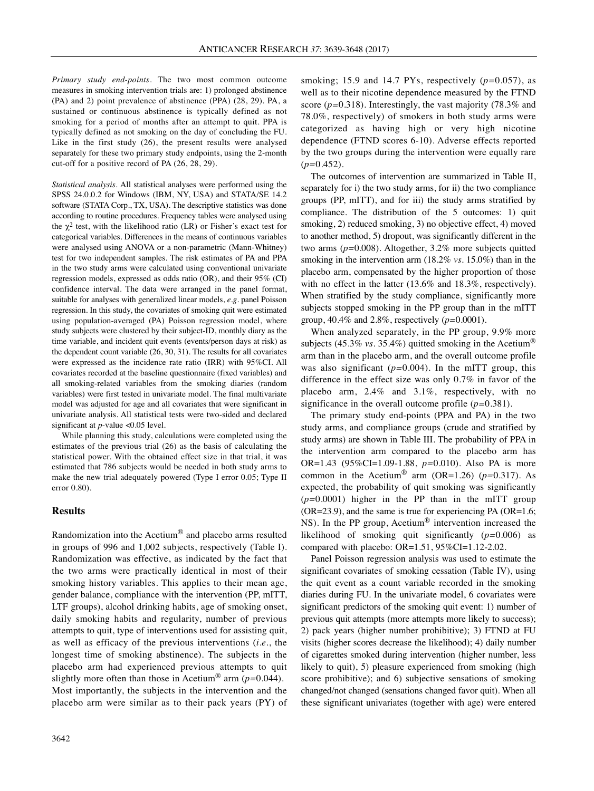*Primary study end-points.* The two most common outcome measures in smoking intervention trials are: 1) prolonged abstinence (PA) and 2) point prevalence of abstinence (PPA) (28, 29). PA, a sustained or continuous abstinence is typically defined as not smoking for a period of months after an attempt to quit. PPA is typically defined as not smoking on the day of concluding the FU. Like in the first study (26), the present results were analysed separately for these two primary study endpoints, using the 2-month cut-off for a positive record of PA (26, 28, 29).

*Statistical analysis.* All statistical analyses were performed using the SPSS 24.0.0.2 for Windows (IBM, NY, USA) and STATA/SE 14.2 software (STATA Corp., TX, USA). The descriptive statistics was done according to routine procedures. Frequency tables were analysed using the  $\chi^2$  test, with the likelihood ratio (LR) or Fisher's exact test for categorical variables. Differences in the means of continuous variables were analysed using ANOVA or a non-parametric (Mann-Whitney) test for two independent samples. The risk estimates of PA and PPA in the two study arms were calculated using conventional univariate regression models, expressed as odds ratio (OR), and their 95% (CI) confidence interval. The data were arranged in the panel format, suitable for analyses with generalized linear models, *e.g.* panel Poisson regression. In this study, the covariates of smoking quit were estimated using population-averaged (PA) Poisson regression model, where study subjects were clustered by their subject-ID, monthly diary as the time variable, and incident quit events (events/person days at risk) as the dependent count variable (26, 30, 31). The results for all covariates were expressed as the incidence rate ratio (IRR) with 95%CI. All covariates recorded at the baseline questionnaire (fixed variables) and all smoking-related variables from the smoking diaries (random variables) were first tested in univariate model. The final multivariate model was adjusted for age and all covariates that were significant in univariate analysis. All statistical tests were two-sided and declared significant at *p*-value <0.05 level.

While planning this study, calculations were completed using the estimates of the previous trial (26) as the basis of calculating the statistical power. With the obtained effect size in that trial, it was estimated that 786 subjects would be needed in both study arms to make the new trial adequately powered (Type I error 0.05; Type II error 0.80).

### **Results**

Randomization into the Acetium® and placebo arms resulted in groups of 996 and 1,002 subjects, respectively (Table I). Randomization was effective, as indicated by the fact that the two arms were practically identical in most of their smoking history variables. This applies to their mean age, gender balance, compliance with the intervention (PP, mITT, LTF groups), alcohol drinking habits, age of smoking onset, daily smoking habits and regularity, number of previous attempts to quit, type of interventions used for assisting quit, as well as efficacy of the previous interventions (*i.e.*, the longest time of smoking abstinence). The subjects in the placebo arm had experienced previous attempts to quit slightly more often than those in Acetium® arm (*p=*0.044). Most importantly, the subjects in the intervention and the placebo arm were similar as to their pack years (PY) of

smoking; 15.9 and 14.7 PYs, respectively (*p=*0.057), as well as to their nicotine dependence measured by the FTND score (*p=*0.318). Interestingly, the vast majority (78.3% and 78.0%, respectively) of smokers in both study arms were categorized as having high or very high nicotine dependence (FTND scores 6-10). Adverse effects reported by the two groups during the intervention were equally rare (*p=*0.452).

The outcomes of intervention are summarized in Table II, separately for i) the two study arms, for ii) the two compliance groups (PP, mITT), and for iii) the study arms stratified by compliance. The distribution of the 5 outcomes: 1) quit smoking, 2) reduced smoking, 3) no objective effect, 4) moved to another method, 5) dropout, was significantly different in the two arms (*p=*0.008). Altogether, 3.2% more subjects quitted smoking in the intervention arm (18.2% *vs.* 15.0%) than in the placebo arm, compensated by the higher proportion of those with no effect in the latter (13.6% and 18.3%, respectively). When stratified by the study compliance, significantly more subjects stopped smoking in the PP group than in the mITT group, 40.4% and 2.8%, respectively (*p=*0.0001).

When analyzed separately, in the PP group, 9.9% more subjects (45.3% *vs.* 35.4%) quitted smoking in the Acetium<sup>®</sup> arm than in the placebo arm, and the overall outcome profile was also significant (*p=*0.004). In the mITT group, this difference in the effect size was only 0.7% in favor of the placebo arm, 2.4% and 3.1%, respectively, with no significance in the overall outcome profile (*p=*0.381).

The primary study end-points (PPA and PA) in the two study arms, and compliance groups (crude and stratified by study arms) are shown in Table III. The probability of PPA in the intervention arm compared to the placebo arm has OR=1.43 (95%CI=1.09-1.88, *p=*0.010). Also PA is more common in the Acetium<sup>®</sup> arm (OR=1.26) ( $p=0.317$ ). As expected, the probability of quit smoking was significantly (*p=*0.0001) higher in the PP than in the mITT group (OR=23.9), and the same is true for experiencing PA (OR=1.6; NS). In the PP group, Acetium® intervention increased the likelihood of smoking quit significantly (*p=*0.006) as compared with placebo: OR=1.51, 95%CI=1.12-2.02.

Panel Poisson regression analysis was used to estimate the significant covariates of smoking cessation (Table IV), using the quit event as a count variable recorded in the smoking diaries during FU. In the univariate model, 6 covariates were significant predictors of the smoking quit event: 1) number of previous quit attempts (more attempts more likely to success); 2) pack years (higher number prohibitive); 3) FTND at FU visits (higher scores decrease the likelihood); 4) daily number of cigarettes smoked during intervention (higher number, less likely to quit), 5) pleasure experienced from smoking (high score prohibitive); and 6) subjective sensations of smoking changed/not changed (sensations changed favor quit). When all these significant univariates (together with age) were entered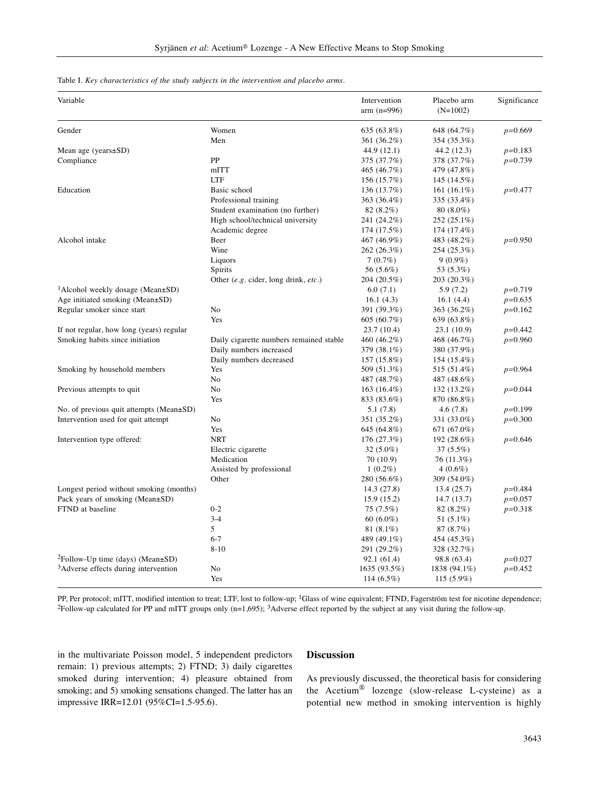Table I. *Key characteristics of the study subjects in the intervention and placebo arms.*

| Variable                                         |                                                                    | Intervention<br>$arm (n=996)$ | Placebo arm<br>$(N=1002)$ | Significance |
|--------------------------------------------------|--------------------------------------------------------------------|-------------------------------|---------------------------|--------------|
| Gender                                           | Women                                                              | 635 (63.8%)                   | 648 (64.7%)               | $p=0.669$    |
|                                                  | Men                                                                | 361 (36.2%)                   | 354 (35.3%)               |              |
| Mean age (years $\pm$ SD)                        |                                                                    | 44.9 (12.1)                   | 44.2 (12.3)               | $p=0.183$    |
| Compliance                                       | PP                                                                 | 375 (37.7%)                   | 378 (37.7%)               | $p=0.739$    |
|                                                  | mITT                                                               | 465 (46.7%)                   | 479 (47.8%)               |              |
|                                                  | <b>LTF</b>                                                         | 156 (15.7%)                   | 145 (14.5%)               |              |
| Education                                        | Basic school                                                       | 136 (13.7%)                   | 161 $(16.1\%)$            | $p=0.477$    |
|                                                  | Professional training                                              | 363 (36.4%)                   | 335 (33.4%)               |              |
|                                                  | Student examination (no further)                                   | 82 (8.2%)                     | $80(8.0\%)$               |              |
|                                                  | High school/technical university                                   | 241 (24.2%)                   | 252 (25.1%)               |              |
|                                                  | Academic degree                                                    | 174 (17.5%)                   | 174 (17.4%)               |              |
| Alcohol intake                                   | Beer                                                               | 467 (46.9%)                   | 483 (48.2%)               | $p=0.950$    |
|                                                  | Wine                                                               | 262 (26.3%)                   | 254 (25.3%)               |              |
|                                                  | Liquors                                                            | 7(0.7%)                       | $9(0.9\%)$                |              |
|                                                  | Spirits                                                            | 56 (5.6%)                     | 53 (5.3%)                 |              |
|                                                  | Other (e.g. cider, long drink, etc.)                               | 204 (20.5%)                   | 203 (20.3%)               |              |
| <sup>1</sup> Alcohol weekly dosage (Mean±SD)     |                                                                    | 6.0(7.1)                      | 5.9 (7.2)                 | $p=0.719$    |
| Age initiated smoking (Mean±SD)                  |                                                                    | 16.1(4.3)                     | 16.1(4.4)                 | $p=0.635$    |
| Regular smoker since start                       | N <sub>0</sub>                                                     | 391 (39.3%)                   | 363 (36.2%)               | $p=0.162$    |
|                                                  | Yes                                                                | 605 (60.7%)                   | 639 (63.8%)               |              |
| If not regular, how long (years) regular         |                                                                    |                               |                           | $p=0.442$    |
| Smoking habits since initiation                  |                                                                    | 23.7 (10.4)                   | 23.1 (10.9)               | $p=0.960$    |
|                                                  | Daily cigarette numbers remained stable<br>Daily numbers increased | 460 (46.2%)                   | 468 (46.7%)               |              |
|                                                  |                                                                    | 379 (38.1%)                   | 380 (37.9%)               |              |
|                                                  | Daily numbers decreased                                            | 157 (15.8%)                   | 154 (15.4%)               |              |
| Smoking by household members                     | Yes                                                                | 509 (51.3%)                   | 515 (51.4%)               | $p=0.964$    |
|                                                  | N <sub>0</sub>                                                     | 487 (48.7%)                   | 487 (48.6%)               |              |
| Previous attempts to quit                        | N <sub>0</sub>                                                     | $163(16.4\%)$                 | 132 (13.2%)               | $p=0.044$    |
|                                                  | Yes                                                                | 833 (83.6%)                   | 870 (86.8%)               |              |
| No. of previous quit attempts (Mean±SD)          |                                                                    | 5.1 (7.8)                     | 4.6(7.8)                  | $p=0.199$    |
| Intervention used for quit attempt               | No                                                                 | 351 (35.2%)                   | 331 (33.0%)               | $p=0.300$    |
|                                                  | Yes                                                                | 645 (64.8%)                   | 671 (67.0%)               |              |
| Intervention type offered:                       | <b>NRT</b>                                                         | 176(27.3%)                    | 192 (28.6%)               | $p=0.646$    |
|                                                  | Electric cigarette                                                 | 32 (5.0%)                     | $37(5.5\%)$               |              |
|                                                  | Medication                                                         | 70 (10.9)                     | 76 (11.3%)                |              |
|                                                  | Assisted by professional                                           | $1(0.2\%)$                    | $4(0.6\%)$                |              |
|                                                  | Other                                                              | 280 (56.6%)                   | 309 (54.0%)               |              |
| Longest period without smoking (months)          |                                                                    | 14.3 (27.8)                   | 13.4 (25.7)               | $p=0.484$    |
| Pack years of smoking (Mean±SD)                  |                                                                    | 15.9(15.2)                    | 14.7 (13.7)               | $p=0.057$    |
| FTND at baseline                                 | $0 - 2$                                                            | 75 (7.5%)                     | 82 (8.2%)                 | $p=0.318$    |
|                                                  | $3 - 4$                                                            | 60 $(6.0\%)$                  | 51 (5.1%)                 |              |
|                                                  | 5                                                                  | 81 (8.1%)                     | 87 (8.7%)                 |              |
|                                                  | $6 - 7$                                                            | 489 (49.1%)                   | 454 (45.3%)               |              |
|                                                  | $8 - 10$                                                           | 291 (29.2%)                   | 328 (32.7%)               |              |
| ${}^{2}$ Follow-Up time (days) (Mean $\pm$ SD)   |                                                                    | 92.1 (61.4)                   | 98.8 (63.4)               | $p=0.027$    |
| <sup>3</sup> Adverse effects during intervention | No                                                                 | 1635 (93.5%)                  | 1838 (94.1%)              | $p=0.452$    |
|                                                  | Yes                                                                | 114 $(6.5\%)$                 | $115(5.9\%)$              |              |

PP, Per protocol; mITT, modified intention to treat; LTF, lost to follow-up; <sup>1</sup>Glass of wine equivalent; FTND, Fagerström test for nicotine dependence; 2Follow-up calculated for PP and mITT groups only (n=1,695); 3Adverse effect reported by the subject at any visit during the follow-up.

in the multivariate Poisson model, 5 independent predictors remain: 1) previous attempts; 2) FTND; 3) daily cigarettes smoked during intervention; 4) pleasure obtained from smoking; and 5) smoking sensations changed. The latter has an impressive IRR=12.01 (95%CI=1.5-95.6).

# **Discussion**

As previously discussed, the theoretical basis for considering the Acetium® lozenge (slow-release L-cysteine) as a potential new method in smoking intervention is highly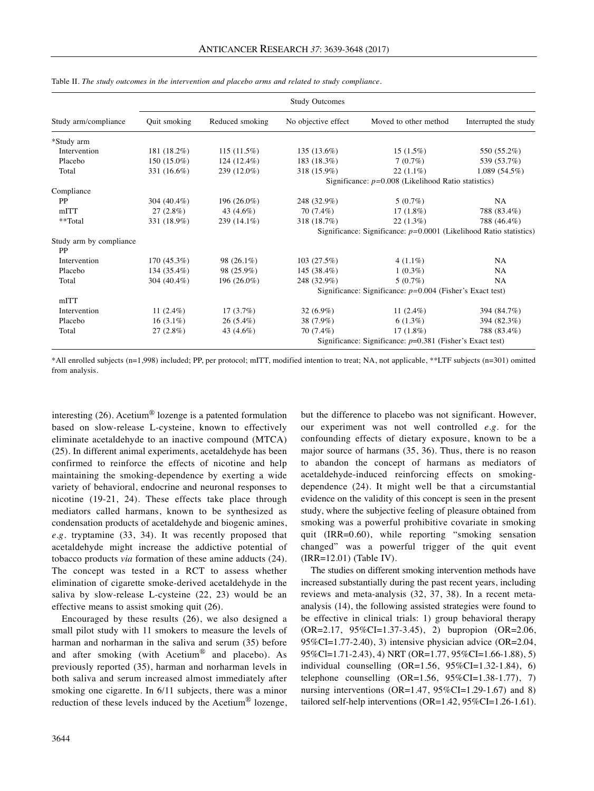|                               | <b>Study Outcomes</b>                                 |                                                             |                                                                      |                       |                       |  |  |
|-------------------------------|-------------------------------------------------------|-------------------------------------------------------------|----------------------------------------------------------------------|-----------------------|-----------------------|--|--|
| Study arm/compliance          | Quit smoking                                          | Reduced smoking                                             | No objective effect                                                  | Moved to other method | Interrupted the study |  |  |
| *Study arm                    |                                                       |                                                             |                                                                      |                       |                       |  |  |
| Intervention                  | 181 (18.2%)                                           | 115(11.5%)                                                  | 135 (13.6%)                                                          | $15(1.5\%)$           | 550 (55.2%)           |  |  |
| Placebo                       | 150 (15.0%)                                           | 124 (12.4%)                                                 | 183 (18.3%)                                                          | 7(0.7%)               | 539 (53.7%)           |  |  |
| Total                         | 331 (16.6%)                                           | 239 (12.0%)                                                 | 318 (15.9%)                                                          | $22(1.1\%)$           | 1.089(54.5%)          |  |  |
|                               | Significance: $p=0.008$ (Likelihood Ratio statistics) |                                                             |                                                                      |                       |                       |  |  |
| Compliance                    |                                                       |                                                             |                                                                      |                       |                       |  |  |
| <b>PP</b>                     | 304 (40.4%)                                           | 196 (26.0%)                                                 | 248 (32.9%)                                                          | $5(0.7\%)$            | NA.                   |  |  |
| mITT                          | 27(2.8%)                                              | 43 (4.6%)                                                   | 70 (7.4%)                                                            | $17(1.8\%)$           | 788 (83.4%)           |  |  |
| **Total                       | 331 (18.9%)                                           | 239 (14.1%)                                                 | 318 (18.7%)                                                          | 22(1.3%)              | 788 (46.4%)           |  |  |
|                               |                                                       |                                                             | Significance: Significance: $p=0.0001$ (Likelihood Ratio statistics) |                       |                       |  |  |
| Study arm by compliance<br>PP |                                                       |                                                             |                                                                      |                       |                       |  |  |
| Intervention                  | 170 (45.3%)                                           | 98 (26.1%)                                                  | 103(27.5%)                                                           | $4(1.1\%)$            | NA                    |  |  |
| Placebo                       | 134 (35.4%)                                           | 98 (25.9%)                                                  | 145 (38.4%)                                                          | $1(0.3\%)$            | NA                    |  |  |
| Total                         | 304 (40.4%)                                           | 196 (26.0%)                                                 | 248 (32.9%)                                                          | $5(0.7\%)$            | NA                    |  |  |
|                               |                                                       |                                                             | Significance: Significance: $p=0.004$ (Fisher's Exact test)          |                       |                       |  |  |
| mITT                          |                                                       |                                                             |                                                                      |                       |                       |  |  |
| Intervention                  | 11 $(2.4\%)$                                          | $17(3.7\%)$                                                 | $32(6.9\%)$                                                          | 11 $(2.4\%)$          | 394 (84.7%)           |  |  |
| Placebo                       | $16(3.1\%)$                                           | $26(5.4\%)$                                                 | 38 (7.9%)                                                            | $6(1.3\%)$            | 394 (82.3%)           |  |  |
| Total                         | 27(2.8%)                                              | 43 (4.6%)                                                   | 70 (7.4%)                                                            | $17(1.8\%)$           | 788 (83.4%)           |  |  |
|                               |                                                       | Significance: Significance: $p=0.381$ (Fisher's Exact test) |                                                                      |                       |                       |  |  |

Table II. *The study outcomes in the intervention and placebo arms and related to study compliance.*

\*All enrolled subjects (n=1,998) included; PP, per protocol; mITT, modified intention to treat; NA, not applicable, \*\*LTF subjects (n=301) omitted from analysis.

interesting (26). Acetium® lozenge is a patented formulation based on slow-release L-cysteine, known to effectively eliminate acetaldehyde to an inactive compound (MTCA) (25). In different animal experiments, acetaldehyde has been confirmed to reinforce the effects of nicotine and help maintaining the smoking-dependence by exerting a wide variety of behavioral, endocrine and neuronal responses to nicotine (19-21, 24). These effects take place through mediators called harmans, known to be synthesized as condensation products of acetaldehyde and biogenic amines, *e.g.* tryptamine (33, 34). It was recently proposed that acetaldehyde might increase the addictive potential of tobacco products *via* formation of these amine adducts (24). The concept was tested in a RCT to assess whether elimination of cigarette smoke-derived acetaldehyde in the saliva by slow-release L-cysteine (22, 23) would be an effective means to assist smoking quit (26).

Encouraged by these results (26), we also designed a small pilot study with 11 smokers to measure the levels of harman and norharman in the saliva and serum (35) before and after smoking (with Acetium® and placebo). As previously reported (35), harman and norharman levels in both saliva and serum increased almost immediately after smoking one cigarette. In 6/11 subjects, there was a minor reduction of these levels induced by the Acetium® lozenge,

but the difference to placebo was not significant. However, our experiment was not well controlled *e.g.* for the confounding effects of dietary exposure, known to be a major source of harmans (35, 36). Thus, there is no reason to abandon the concept of harmans as mediators of acetaldehyde-induced reinforcing effects on smokingdependence (24). It might well be that a circumstantial evidence on the validity of this concept is seen in the present study, where the subjective feeling of pleasure obtained from smoking was a powerful prohibitive covariate in smoking quit (IRR=0.60), while reporting "smoking sensation changed" was a powerful trigger of the quit event (IRR=12.01) (Table IV).

The studies on different smoking intervention methods have increased substantially during the past recent years, including reviews and meta-analysis (32, 37, 38). In a recent metaanalysis (14), the following assisted strategies were found to be effective in clinical trials: 1) group behavioral therapy (OR=2.17, 95%CI=1.37-3.45), 2) bupropion (OR=2.06, 95%CI=1.77-2.40), 3) intensive physician advice (OR=2.04, 95%Cl=1.71-2.43), 4) NRT (OR=1.77, 95%CI=1.66-1.88), 5) individual counselling (OR=1.56, 95%CI=1.32-1.84), 6) telephone counselling  $(OR=1.56, 95\%CI=1.38-1.77),$  7) nursing interventions (OR=1.47,  $95\%$ CI=1.29-1.67) and 8) tailored self-help interventions (OR=1.42, 95%CI=1.26-1.61).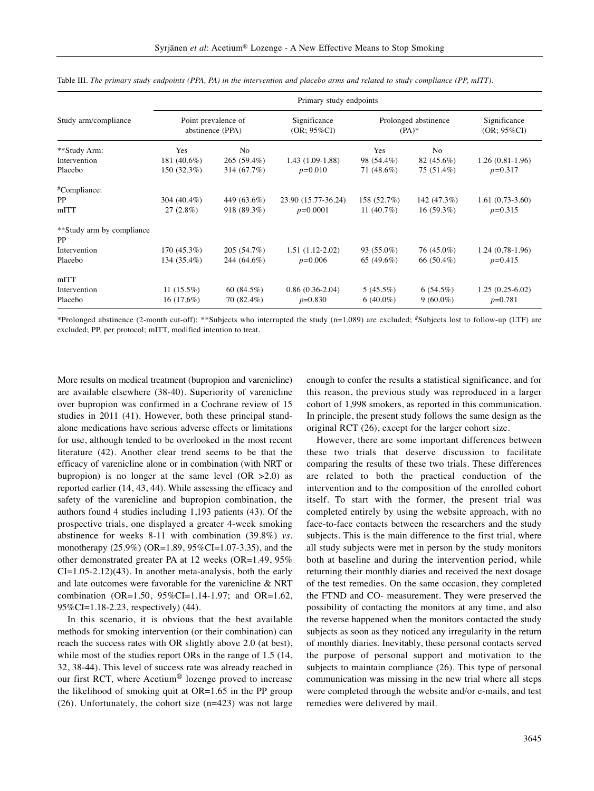|                                 | Primary study endpoints                 |               |                                |                                 |             |                                |  |  |
|---------------------------------|-----------------------------------------|---------------|--------------------------------|---------------------------------|-------------|--------------------------------|--|--|
| Study arm/compliance            | Point prevalence of<br>abstinence (PPA) |               | Significance<br>$(OR; 95\%CI)$ | Prolonged abstinence<br>$(PA)*$ |             | Significance<br>$(OR; 95\%CI)$ |  |  |
| **Study Arm:                    | Yes                                     | No            |                                | Yes                             | No          |                                |  |  |
| Intervention                    | 181 (40.6%)                             | 265 (59.4%)   | 1.43 (1.09-1.88)               | 98 (54.4%)                      | 82 (45.6%)  | $1.26(0.81-1.96)$              |  |  |
| Placebo                         | 150 (32.3%)                             | 314 (67.7%)   | $p=0.010$                      | 71 (48.6%)                      | 75 (51.4%)  | $p=0.317$                      |  |  |
| #Compliance:                    |                                         |               |                                |                                 |             |                                |  |  |
| PP                              | 304 (40.4%)                             | 449 (63.6%)   | 23.90 (15.77-36.24)            | 158 (52.7%)                     | 142 (47.3%) | $1.61(0.73-3.60)$              |  |  |
| mITT                            | 27(2.8%)                                | 918 (89.3%)   | $p=0.0001$                     | 11 $(40.7%)$                    | 16(59.3%)   | $p=0.315$                      |  |  |
| **Study arm by compliance<br>PP |                                         |               |                                |                                 |             |                                |  |  |
| Intervention                    | 170 (45.3%)                             | 205 (54.7%)   | $1.51(1.12-2.02)$              | $93(55.0\%)$                    | 76 (45.0%)  | $1.24(0.78-1.96)$              |  |  |
| Placebo                         | 134 (35.4%)                             | 244 (64.6%)   | $p=0.006$                      | 65 (49.6%)                      | 66 (50.4%)  | $p=0.415$                      |  |  |
| mITT                            |                                         |               |                                |                                 |             |                                |  |  |
| Intervention                    | $11(15.5\%)$                            | 60 $(84.5\%)$ | $0.86(0.36-2.04)$              | 5(45.5%)                        | 6(54.5%)    | $1.25(0.25-6.02)$              |  |  |
| Placebo                         | 16(17,6%)                               | 70 (82.4%)    | $p=0.830$                      | $6(40.0\%)$                     | $9(60.0\%)$ | $p=0.781$                      |  |  |

|  | Table III. The primary study endpoints (PPA, PA) in the intervention and placebo arms and related to study compliance (PP, mITT). |  |  |
|--|-----------------------------------------------------------------------------------------------------------------------------------|--|--|
|--|-----------------------------------------------------------------------------------------------------------------------------------|--|--|

\*Prolonged abstinence (2-month cut-off); \*\*Subjects who interrupted the study (n=1,089) are excluded; #Subjects lost to follow-up (LTF) are excluded; PP, per protocol; mITT, modified intention to treat.

More results on medical treatment (bupropion and varenicline) are available elsewhere (38-40). Superiority of varenicline over bupropion was confirmed in a Cochrane review of 15 studies in 2011 (41). However, both these principal standalone medications have serious adverse effects or limitations for use, although tended to be overlooked in the most recent literature (42). Another clear trend seems to be that the efficacy of varenicline alone or in combination (with NRT or bupropion) is no longer at the same level  $(OR > 2.0)$  as reported earlier (14, 43, 44). While assessing the efficacy and safety of the varenicline and bupropion combination, the authors found 4 studies including 1,193 patients (43). Of the prospective trials, one displayed a greater 4-week smoking abstinence for weeks 8-11 with combination (39.8%) *vs.* monotherapy (25.9%) (OR=1.89, 95%CI=1.07-3.35), and the other demonstrated greater PA at 12 weeks (OR=1.49, 95% CI=1.05-2.12)(43). In another meta-analysis, both the early and late outcomes were favorable for the varenicline & NRT combination (OR=1.50, 95%CI=1.14-1.97; and OR=1.62, 95%CI=1.18-2.23, respectively) (44).

In this scenario, it is obvious that the best available methods for smoking intervention (or their combination) can reach the success rates with OR slightly above 2.0 (at best), while most of the studies report ORs in the range of 1.5 (14, 32, 38-44). This level of success rate was already reached in our first RCT, where Acetium® lozenge proved to increase the likelihood of smoking quit at OR=1.65 in the PP group (26). Unfortunately, the cohort size (n=423) was not large

enough to confer the results a statistical significance, and for this reason, the previous study was reproduced in a larger cohort of 1,998 smokers, as reported in this communication. In principle, the present study follows the same design as the original RCT (26), except for the larger cohort size.

However, there are some important differences between these two trials that deserve discussion to facilitate comparing the results of these two trials. These differences are related to both the practical conduction of the intervention and to the composition of the enrolled cohort itself. To start with the former, the present trial was completed entirely by using the website approach, with no face-to-face contacts between the researchers and the study subjects. This is the main difference to the first trial, where all study subjects were met in person by the study monitors both at baseline and during the intervention period, while returning their monthly diaries and received the next dosage of the test remedies. On the same occasion, they completed the FTND and CO- measurement. They were preserved the possibility of contacting the monitors at any time, and also the reverse happened when the monitors contacted the study subjects as soon as they noticed any irregularity in the return of monthly diaries. Inevitably, these personal contacts served the purpose of personal support and motivation to the subjects to maintain compliance (26). This type of personal communication was missing in the new trial where all steps were completed through the website and/or e-mails, and test remedies were delivered by mail.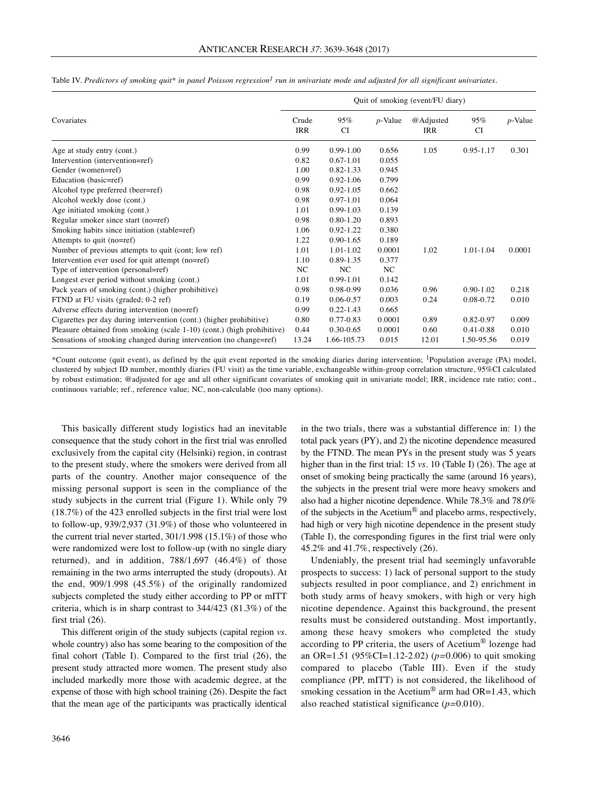|                                                                        | Quit of smoking (event/FU diary) |                  |            |                         |                  |            |  |
|------------------------------------------------------------------------|----------------------------------|------------------|------------|-------------------------|------------------|------------|--|
| Covariates                                                             | Crude<br>IRR                     | 95%<br><b>CI</b> | $p$ -Value | @Adjusted<br><b>IRR</b> | 95%<br><b>CI</b> | $p$ -Value |  |
| Age at study entry (cont.)                                             | 0.99                             | $0.99 - 1.00$    | 0.656      | 1.05                    | 0.95-1.17        | 0.301      |  |
| Intervention (intervention=ref)                                        | 0.82                             | $0.67 - 1.01$    | 0.055      |                         |                  |            |  |
| Gender (women=ref)                                                     | 1.00                             | $0.82 - 1.33$    | 0.945      |                         |                  |            |  |
| Education (basic=ref)                                                  | 0.99                             | $0.92 - 1.06$    | 0.799      |                         |                  |            |  |
| Alcohol type preferred (beer=ref)                                      | 0.98                             | $0.92 - 1.05$    | 0.662      |                         |                  |            |  |
| Alcohol weekly dose (cont.)                                            | 0.98                             | $0.97 - 1.01$    | 0.064      |                         |                  |            |  |
| Age initiated smoking (cont.)                                          | 1.01                             | $0.99 - 1.03$    | 0.139      |                         |                  |            |  |
| Regular smoker since start (no=ref)                                    | 0.98                             | $0.80 - 1.20$    | 0.893      |                         |                  |            |  |
| Smoking habits since initiation (stable=ref)                           | 1.06                             | 0.92-1.22        | 0.380      |                         |                  |            |  |
| Attempts to quit (no=ref)                                              | 1.22                             | $0.90 - 1.65$    | 0.189      |                         |                  |            |  |
| Number of previous attempts to quit (cont; low ref)                    | 1.01                             | 1.01-1.02        | 0.0001     | 1.02                    | 1.01-1.04        | 0.0001     |  |
| Intervention ever used for quit attempt (no=ref)                       | 1.10                             | 0.89-1.35        | 0.377      |                         |                  |            |  |
| Type of intervention (personal=ref)                                    | NC                               | NC               | NC         |                         |                  |            |  |
| Longest ever period without smoking (cont.)                            | 1.01                             | 0.99-1.01        | 0.142      |                         |                  |            |  |
| Pack years of smoking (cont.) (higher prohibitive)                     | 0.98                             | 0.98-0.99        | 0.036      | 0.96                    | $0.90 - 1.02$    | 0.218      |  |
| FTND at FU visits (graded; 0-2 ref)                                    | 0.19                             | $0.06 - 0.57$    | 0.003      | 0.24                    | 0.08-0.72        | 0.010      |  |
| Adverse effects during intervention (no=ref)                           | 0.99                             | $0.22 - 1.43$    | 0.665      |                         |                  |            |  |
| Cigarettes per day during intervention (cont.) (higher prohibitive)    | 0.80                             | 0.77-0.83        | 0.0001     | 0.89                    | 0.82-0.97        | 0.009      |  |
| Pleasure obtained from smoking (scale 1-10) (cont.) (high prohibitive) | 0.44                             | $0.30 - 0.65$    | 0.0001     | 0.60                    | 0.41-0.88        | 0.010      |  |
| Sensations of smoking changed during intervention (no change=ref)      | 13.24                            | 1.66-105.73      | 0.015      | 12.01                   | 1.50-95.56       | 0.019      |  |

Table IV. Predictors of smoking quit\* in panel Poisson regression<sup>1</sup> run in univariate mode and adjusted for all significant univariates.

\*Count outcome (quit event), as defined by the quit event reported in the smoking diaries during intervention; 1Population average (PA) model, clustered by subject ID number, monthly diaries (FU visit) as the time variable, exchangeable within-group correlation structure, 95%CI calculated by robust estimation; @adjusted for age and all other significant covariates of smoking quit in univariate model; IRR, incidence rate ratio; cont., continuous variable; ref., reference value; NC, non-calculable (too many options).

This basically different study logistics had an inevitable consequence that the study cohort in the first trial was enrolled exclusively from the capital city (Helsinki) region, in contrast to the present study, where the smokers were derived from all parts of the country. Another major consequence of the missing personal support is seen in the compliance of the study subjects in the current trial (Figure 1). While only 79 (18.7%) of the 423 enrolled subjects in the first trial were lost to follow-up, 939/2,937 (31.9%) of those who volunteered in the current trial never started, 301/1.998 (15.1%) of those who were randomized were lost to follow-up (with no single diary returned), and in addition, 788/1,697 (46.4%) of those remaining in the two arms interrupted the study (dropouts). At the end, 909/1.998 (45.5%) of the originally randomized subjects completed the study either according to PP or mITT criteria, which is in sharp contrast to 344/423 (81.3%) of the first trial  $(26)$ .

This different origin of the study subjects (capital region *vs.* whole country) also has some bearing to the composition of the final cohort (Table I). Compared to the first trial (26), the present study attracted more women. The present study also included markedly more those with academic degree, at the expense of those with high school training (26). Despite the fact that the mean age of the participants was practically identical in the two trials, there was a substantial difference in: 1) the total pack years (PY), and 2) the nicotine dependence measured by the FTND. The mean PYs in the present study was 5 years higher than in the first trial: 15 *vs.* 10 (Table I) (26). The age at onset of smoking being practically the same (around 16 years), the subjects in the present trial were more heavy smokers and also had a higher nicotine dependence. While 78.3% and 78.0% of the subjects in the Acetium® and placebo arms, respectively, had high or very high nicotine dependence in the present study (Table I), the corresponding figures in the first trial were only 45.2% and 41.7%, respectively (26).

Undeniably, the present trial had seemingly unfavorable prospects to success: 1) lack of personal support to the study subjects resulted in poor compliance, and 2) enrichment in both study arms of heavy smokers, with high or very high nicotine dependence. Against this background, the present results must be considered outstanding. Most importantly, among these heavy smokers who completed the study according to PP criteria, the users of Acetium® lozenge had an OR=1.51 (95%CI=1.12-2.02) (*p=*0.006) to quit smoking compared to placebo (Table III). Even if the study compliance (PP, mITT) is not considered, the likelihood of smoking cessation in the Acetium<sup>®</sup> arm had  $OR=1.43$ , which also reached statistical significance (*p=*0.010).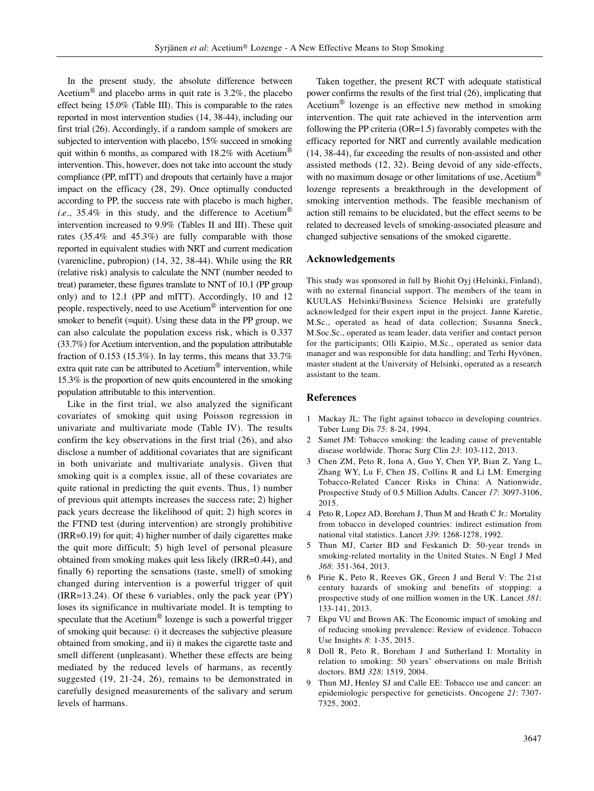In the present study, the absolute difference between Acetium<sup>®</sup> and placebo arms in quit rate is  $3.2\%$ , the placebo effect being 15.0% (Table III). This is comparable to the rates reported in most intervention studies (14, 38-44), including our first trial (26). Accordingly, if a random sample of smokers are subjected to intervention with placebo, 15% succeed in smoking quit within 6 months, as compared with  $18.2\%$  with Acetium<sup>®</sup> intervention. This, however, does not take into account the study compliance (PP, mITT) and dropouts that certainly have a major impact on the efficacy (28, 29). Once optimally conducted according to PP, the success rate with placebo is much higher, *i.e.*, 35.4% in this study, and the difference to Acetium<sup>®</sup> intervention increased to 9.9% (Tables II and III). These quit rates (35.4% and 45.3%) are fully comparable with those reported in equivalent studies with NRT and current medication (varenicline, pubropion) (14, 32, 38-44). While using the RR (relative risk) analysis to calculate the NNT (number needed to treat) parameter, these figures translate to NNT of 10.1 (PP group only) and to 12.1 (PP and mITT). Accordingly, 10 and 12 people, respectively, need to use Acetium® intervention for one smoker to benefit (=quit). Using these data in the PP group, we can also calculate the population excess risk, which is 0.337 (33.7%) for Acetium intervention, and the population attributable fraction of 0.153 (15.3%). In lay terms, this means that  $33.7%$ extra quit rate can be attributed to Acetium<sup>®</sup> intervention, while 15.3% is the proportion of new quits encountered in the smoking population attributable to this intervention.

Like in the first trial, we also analyzed the significant covariates of smoking quit using Poisson regression in univariate and multivariate mode (Table IV). The results confirm the key observations in the first trial (26), and also disclose a number of additional covariates that are significant in both univariate and multivariate analysis. Given that smoking quit is a complex issue, all of these covariates are quite rational in predicting the quit events. Thus, 1) number of previous quit attempts increases the success rate; 2) higher pack years decrease the likelihood of quit; 2) high scores in the FTND test (during intervention) are strongly prohibitive (IRR=0.19) for quit; 4) higher number of daily cigarettes make the quit more difficult; 5) high level of personal pleasure obtained from smoking makes quit less likely (IRR=0.44), and finally 6) reporting the sensations (taste, smell) of smoking changed during intervention is a powerful trigger of quit (IRR=13.24). Of these 6 variables, only the pack year (PY) loses its significance in multivariate model. It is tempting to speculate that the Acetium<sup>®</sup> lozenge is such a powerful trigger of smoking quit because: i) it decreases the subjective pleasure obtained from smoking, and ii) it makes the cigarette taste and smell different (unpleasant). Whether these effects are being mediated by the reduced levels of harmans, as recently suggested (19, 21-24, 26), remains to be demonstrated in carefully designed measurements of the salivary and serum levels of harmans.

Taken together, the present RCT with adequate statistical power confirms the results of the first trial (26), implicating that Acetium® lozenge is an effective new method in smoking intervention. The quit rate achieved in the intervention arm following the PP criteria (OR=1.5) favorably competes with the efficacy reported for NRT and currently available medication (14, 38-44), far exceeding the results of non-assisted and other assisted methods (12, 32). Being devoid of any side-effects, with no maximum dosage or other limitations of use, Acetium<sup>®</sup> lozenge represents a breakthrough in the development of smoking intervention methods. The feasible mechanism of action still remains to be elucidated, but the effect seems to be related to decreased levels of smoking-associated pleasure and changed subjective sensations of the smoked cigarette.

#### **Acknowledgements**

This study was sponsored in full by Biohit Oyj (Helsinki, Finland), with no external financial support. The members of the team in KUULAS Helsinki/Business Science Helsinki are gratefully acknowledged for their expert input in the project. Janne Karetie, M.Sc., operated as head of data collection; Susanna Sneck, M.Soc.Sc., operated as team leader, data verifier and contact person for the participants; Olli Kaipio, M.Sc., operated as senior data manager and was responsible for data handling; and Terhi Hyvönen, master student at the University of Helsinki, operated as a research assistant to the team.

## **References**

- 1 Mackay JL: The fight against tobacco in developing countries. Tuber Lung Dis *75*: 8-24, 1994.
- 2 Samet JM: Tobacco smoking: the leading cause of preventable disease worldwide. Thorac Surg Clin *23*: 103-112, 2013.
- 3 Chen ZM, Peto R, Iona A, Guo Y, Chen YP, Bian Z, Yang L, Zhang WY, Lu F, Chen JS, Collins R and Li LM: Emerging Tobacco-Related Cancer Risks in China: A Nationwide, Prospective Study of 0.5 Million Adults. Cancer *17*: 3097-3106, 2015.
- 4 Peto R, Lopez AD, Boreham J, Thun M and Heath C Jr.: Mortality from tobacco in developed countries: indirect estimation from national vital statistics. Lancet *339*: 1268-1278, 1992.
- 5 Thun MJ, Carter BD and Feskanich D: 50-year trends in smoking-related mortality in the United States. N Engl J Med *368*: 351-364, 2013.
- 6 Pirie K, Peto R, Reeves GK, Green J and Beral V: The 21st century hazards of smoking and benefits of stopping: a prospective study of one million women in the UK. Lancet *381*: 133-141, 2013.
- 7 Ekpu VU and Brown AK: The Economic impact of smoking and of reducing smoking prevalence: Review of evidence. Tobacco Use Insights *8*: 1-35, 2015.
- 8 Doll R, Peto R, Boreham J and Sutherland I: Mortality in relation to smoking: 50 years' observations on male British doctors. BMJ *328*: 1519, 2004.
- 9 Thun MJ, Henley SJ and Calle EE: Tobacco use and cancer: an epidemiologic perspective for geneticists. Oncogene *21*: 7307- 7325, 2002.